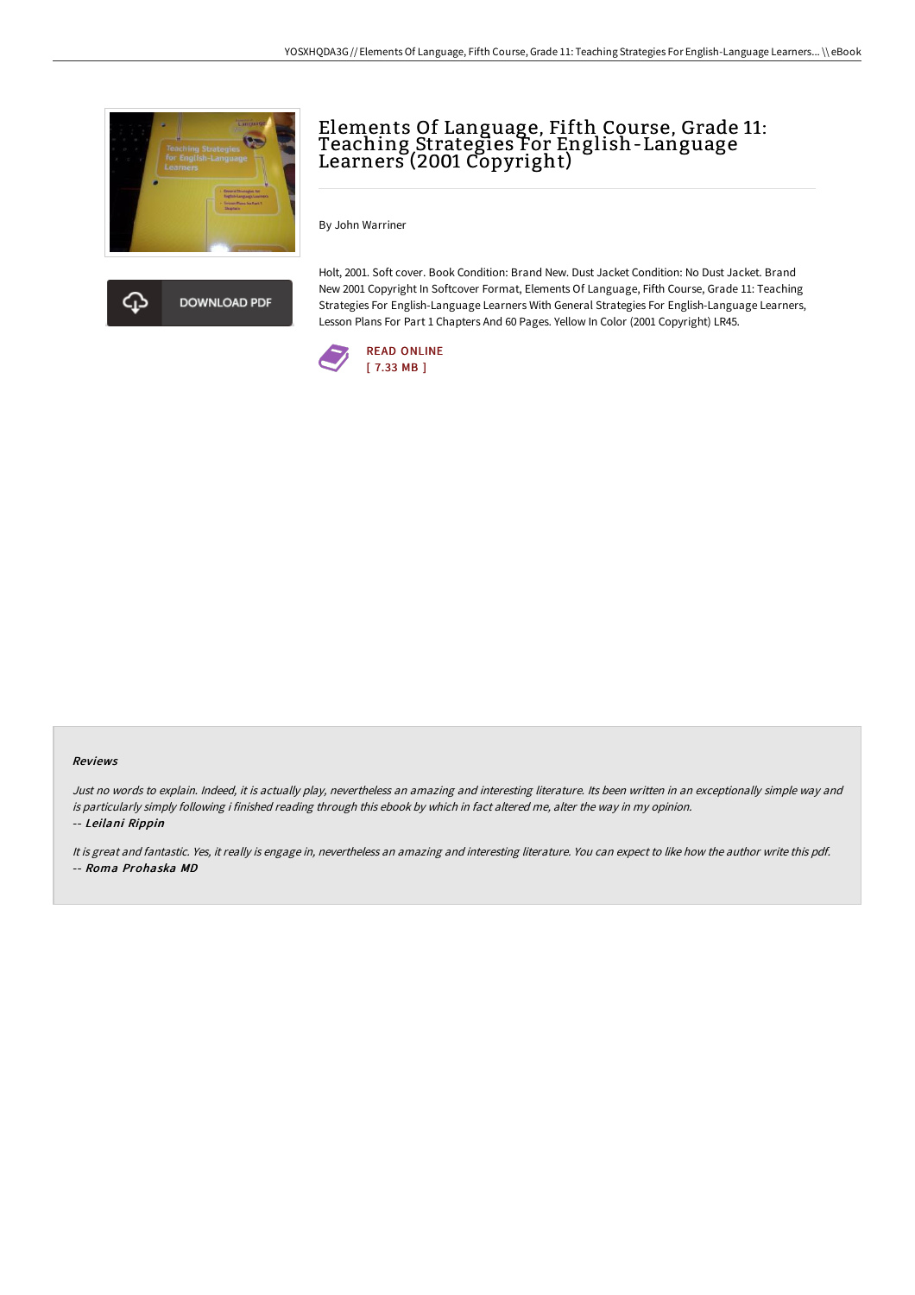



Elements Of Language, Fifth Course, Grade 11: Teaching Strategies For English-Language Learners (2001 Copyright)

By John Warriner

Holt, 2001. Soft cover. Book Condition: Brand New. Dust Jacket Condition: No Dust Jacket. Brand New 2001 Copyright In Softcover Format, Elements Of Language, Fifth Course, Grade 11: Teaching Strategies For English-Language Learners With General Strategies For English-Language Learners, Lesson Plans For Part 1 Chapters And 60 Pages. Yellow In Color (2001 Copyright) LR45.



#### Reviews

Just no words to explain. Indeed, it is actually play, nevertheless an amazing and interesting literature. Its been written in an exceptionally simple way and is particularly simply following i finished reading through this ebook by which in fact altered me, alter the way in my opinion. -- Leilani Rippin

It is great and fantastic. Yes, it really is engage in, nevertheless an amazing and interesting literature. You can expect to like how the author write this pdf. -- Roma Prohaska MD